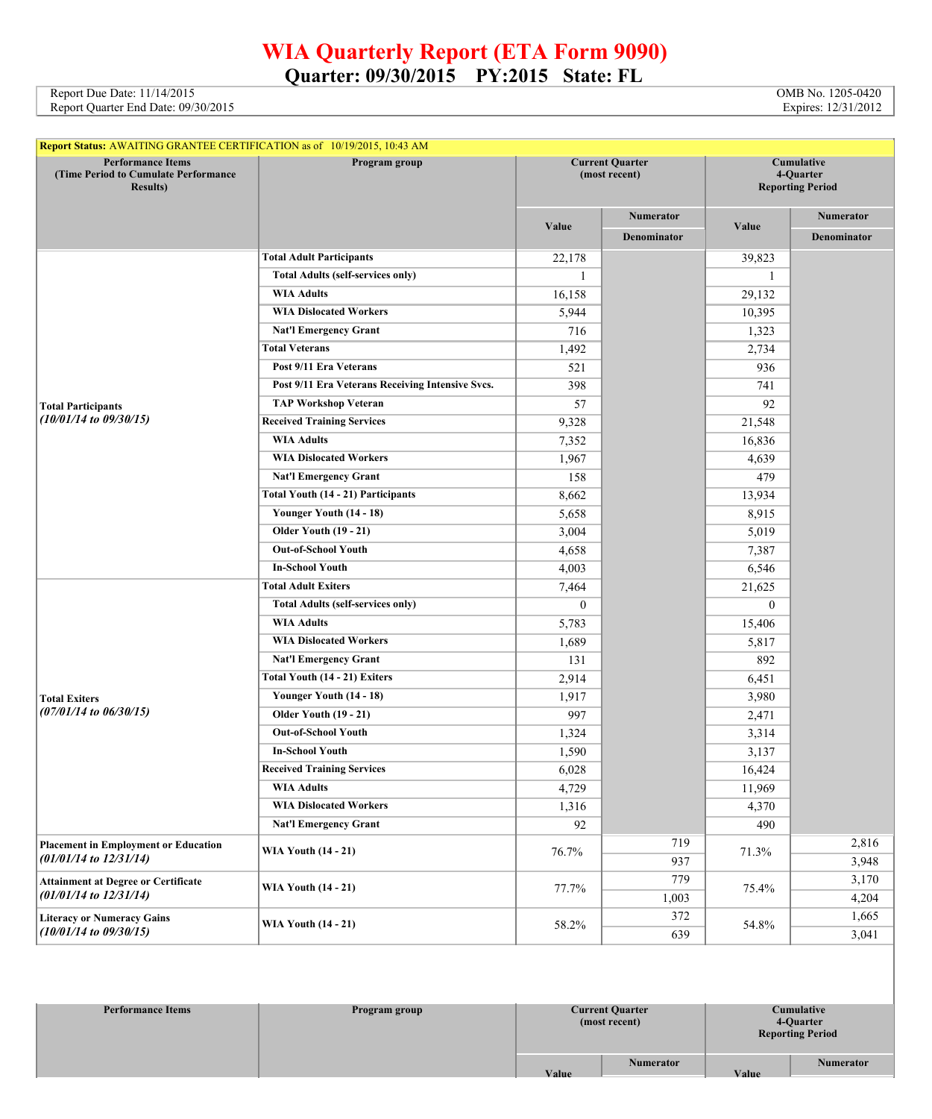## **WIA Quarterly Report (ETA Form 9090) Quarter: 09/30/2015 PY:2015 State: FL**

Report Due Date: 11/14/2015 **OMB** No. 1205-0420 Report Quarter End Date: 09/30/2015 Expires: 12/31/2012

| <b>Report Status: AWAITING GRANTEE CERTIFICATION as of 10/19/2015, 10:43 AM</b>      |                                                  |                                         |                    |                                                    |                  |
|--------------------------------------------------------------------------------------|--------------------------------------------------|-----------------------------------------|--------------------|----------------------------------------------------|------------------|
| <b>Performance Items</b><br>(Time Period to Cumulate Performance<br><b>Results</b> ) | Program group                                    | <b>Current Quarter</b><br>(most recent) |                    | Cumulative<br>4-Quarter<br><b>Reporting Period</b> |                  |
|                                                                                      |                                                  |                                         | Numerator          |                                                    | <b>Numerator</b> |
|                                                                                      |                                                  | Value                                   | <b>Denominator</b> | Value                                              | Denominator      |
|                                                                                      | <b>Total Adult Participants</b>                  | 22,178                                  |                    | 39,823                                             |                  |
|                                                                                      | <b>Total Adults (self-services only)</b>         | 1                                       |                    | 1                                                  |                  |
|                                                                                      | <b>WIA Adults</b>                                | 16,158                                  |                    | 29,132                                             |                  |
|                                                                                      | <b>WIA Dislocated Workers</b>                    | 5,944                                   |                    | 10,395                                             |                  |
|                                                                                      | <b>Nat'l Emergency Grant</b>                     | 716                                     |                    | 1,323                                              |                  |
|                                                                                      | <b>Total Veterans</b>                            | 1,492                                   |                    | 2,734                                              |                  |
|                                                                                      | Post 9/11 Era Veterans                           | 521                                     |                    | 936                                                |                  |
|                                                                                      | Post 9/11 Era Veterans Receiving Intensive Svcs. | 398                                     |                    | 741                                                |                  |
| <b>Total Participants</b>                                                            | <b>TAP Workshop Veteran</b>                      | 57                                      |                    | 92                                                 |                  |
| $(10/01/14$ to $09/30/15)$                                                           | <b>Received Training Services</b>                | 9,328                                   |                    | 21,548                                             |                  |
|                                                                                      | <b>WIA Adults</b>                                | 7,352                                   |                    | 16,836                                             |                  |
|                                                                                      | <b>WIA Dislocated Workers</b>                    | 1,967                                   |                    | 4,639                                              |                  |
|                                                                                      | <b>Nat'l Emergency Grant</b>                     | 158                                     |                    | 479                                                |                  |
|                                                                                      | Total Youth (14 - 21) Participants               | 8,662                                   |                    | 13,934                                             |                  |
|                                                                                      | Younger Youth (14 - 18)                          | 5,658                                   |                    | 8,915                                              |                  |
|                                                                                      | <b>Older Youth (19 - 21)</b>                     | 3,004                                   |                    | 5,019                                              |                  |
|                                                                                      | <b>Out-of-School Youth</b>                       | 4,658                                   |                    | 7,387                                              |                  |
|                                                                                      | <b>In-School Youth</b>                           | 4,003                                   |                    | 6,546                                              |                  |
|                                                                                      | <b>Total Adult Exiters</b>                       | 7,464                                   |                    | 21,625                                             |                  |
|                                                                                      | <b>Total Adults (self-services only)</b>         | $\overline{0}$                          |                    | $\theta$                                           |                  |
|                                                                                      | <b>WIA Adults</b>                                | 5,783                                   |                    | 15,406                                             |                  |
|                                                                                      | <b>WIA Dislocated Workers</b>                    | 1,689                                   |                    | 5,817                                              |                  |
|                                                                                      | <b>Nat'l Emergency Grant</b>                     | 131                                     |                    | 892                                                |                  |
|                                                                                      | Total Youth (14 - 21) Exiters                    | 2,914                                   |                    | 6,451                                              |                  |
| <b>Total Exiters</b>                                                                 | Younger Youth (14 - 18)                          | 1,917                                   |                    | 3,980                                              |                  |
| $(07/01/14$ to $06/30/15)$                                                           | <b>Older Youth (19 - 21)</b>                     | 997                                     |                    | 2,471                                              |                  |
|                                                                                      | <b>Out-of-School Youth</b>                       | 1,324                                   |                    | 3,314                                              |                  |
|                                                                                      | <b>In-School Youth</b>                           | 1,590                                   |                    | 3,137                                              |                  |
|                                                                                      | <b>Received Training Services</b>                | 6,028                                   |                    | 16,424                                             |                  |
|                                                                                      | <b>WIA Adults</b>                                | 4,729                                   |                    | 11,969                                             |                  |
|                                                                                      | <b>WIA Dislocated Workers</b>                    | 1,316                                   |                    | 4,370                                              |                  |
|                                                                                      | <b>Nat'l Emergency Grant</b>                     | 92                                      |                    | 490                                                |                  |
| <b>Placement in Employment or Education</b>                                          | <b>WIA Youth (14 - 21)</b>                       | 76.7%                                   | 719                | 71.3%                                              | 2,816            |
| $(01/01/14$ to $12/31/14)$                                                           |                                                  |                                         | 937                |                                                    | 3,948            |
| <b>Attainment at Degree or Certificate</b>                                           |                                                  |                                         | 779                | 75.4%                                              | 3,170            |
| $(01/01/14$ to $12/31/14)$                                                           | <b>WIA Youth (14 - 21)</b>                       | 77.7%                                   | 1,003              |                                                    | 4,204            |
| <b>Literacy or Numeracy Gains</b>                                                    |                                                  |                                         | 372                |                                                    | 1,665            |
| $(10/01/14$ to $09/30/15)$                                                           | <b>WIA Youth (14 - 21)</b>                       | 58.2%                                   | 639                | 54.8%                                              | 3,041            |

| <b>Performance Items</b> | Program group | <b>Current Quarter</b><br>Cumulative<br>4-Quarter<br>(most recent)<br><b>Reporting Period</b> |                           |
|--------------------------|---------------|-----------------------------------------------------------------------------------------------|---------------------------|
|                          |               | <b>Numerator</b><br>Value                                                                     | <b>Numerator</b><br>Value |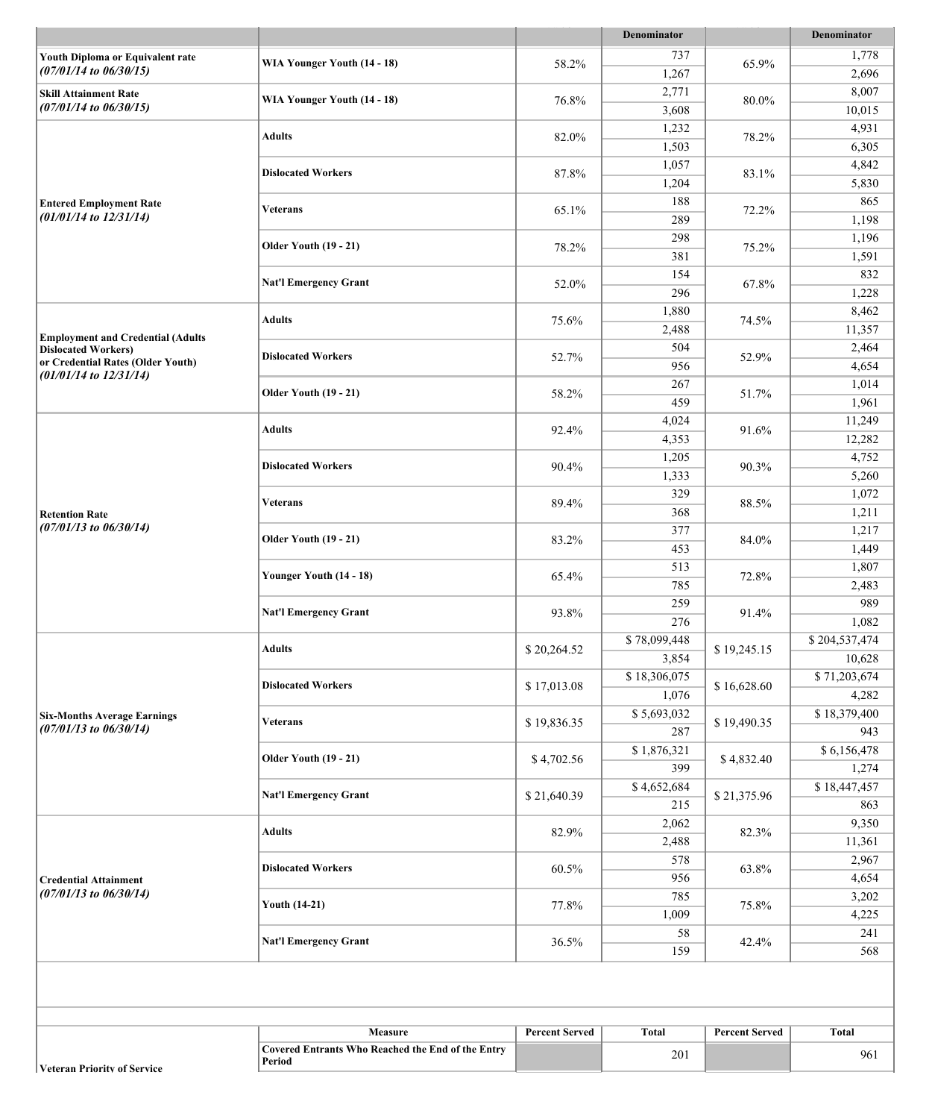|                                                                  |                                                                                                                                                                                                                                                                                                                                                                                                                                                                                                                                                                                                                                                                                                                                                                                                                                                                                                                                     |                       | <b>Denominator</b>                                                                                                                                                                                                                                             |                                                                                                                                                                                                                                                            | <b>Denominator</b>      |
|------------------------------------------------------------------|-------------------------------------------------------------------------------------------------------------------------------------------------------------------------------------------------------------------------------------------------------------------------------------------------------------------------------------------------------------------------------------------------------------------------------------------------------------------------------------------------------------------------------------------------------------------------------------------------------------------------------------------------------------------------------------------------------------------------------------------------------------------------------------------------------------------------------------------------------------------------------------------------------------------------------------|-----------------------|----------------------------------------------------------------------------------------------------------------------------------------------------------------------------------------------------------------------------------------------------------------|------------------------------------------------------------------------------------------------------------------------------------------------------------------------------------------------------------------------------------------------------------|-------------------------|
| Youth Diploma or Equivalent rate                                 |                                                                                                                                                                                                                                                                                                                                                                                                                                                                                                                                                                                                                                                                                                                                                                                                                                                                                                                                     |                       | 737                                                                                                                                                                                                                                                            |                                                                                                                                                                                                                                                            | 1,778                   |
| $(07/01/14$ to $06/30/15)$                                       |                                                                                                                                                                                                                                                                                                                                                                                                                                                                                                                                                                                                                                                                                                                                                                                                                                                                                                                                     |                       | 1,267                                                                                                                                                                                                                                                          |                                                                                                                                                                                                                                                            | 2,696                   |
| <b>Skill Attainment Rate</b>                                     |                                                                                                                                                                                                                                                                                                                                                                                                                                                                                                                                                                                                                                                                                                                                                                                                                                                                                                                                     |                       | 2,771                                                                                                                                                                                                                                                          | 65.9%<br>80.0%<br>78.2%<br>83.1%<br>72.2%<br>75.2%<br>67.8%<br>74.5%<br>52.9%<br>51.7%<br>91.6%<br>90.3%<br>88.5%<br>84.0%<br>72.8%<br>91.4%<br>\$19,245.15<br>\$16,628.60<br>\$19,490.35<br>\$4,832.40<br>\$21,375.96<br>82.3%<br>63.8%<br>75.8%<br>42.4% | 8,007                   |
| $(07/01/14$ to $06/30/15)$                                       |                                                                                                                                                                                                                                                                                                                                                                                                                                                                                                                                                                                                                                                                                                                                                                                                                                                                                                                                     |                       | 3,608                                                                                                                                                                                                                                                          |                                                                                                                                                                                                                                                            | 10,015                  |
|                                                                  |                                                                                                                                                                                                                                                                                                                                                                                                                                                                                                                                                                                                                                                                                                                                                                                                                                                                                                                                     |                       | 1,232                                                                                                                                                                                                                                                          |                                                                                                                                                                                                                                                            | 4,931                   |
|                                                                  |                                                                                                                                                                                                                                                                                                                                                                                                                                                                                                                                                                                                                                                                                                                                                                                                                                                                                                                                     |                       | 1,503                                                                                                                                                                                                                                                          |                                                                                                                                                                                                                                                            | 6,305                   |
|                                                                  |                                                                                                                                                                                                                                                                                                                                                                                                                                                                                                                                                                                                                                                                                                                                                                                                                                                                                                                                     |                       | 1,057                                                                                                                                                                                                                                                          |                                                                                                                                                                                                                                                            | 4,842                   |
|                                                                  | WIA Younger Youth (14 - 18)<br>58.2%<br>WIA Younger Youth (14 - 18)<br>76.8%<br><b>Adults</b><br>82.0%<br><b>Dislocated Workers</b><br>87.8%<br><b>Veterans</b><br>65.1%<br><b>Older Youth (19 - 21)</b><br>78.2%<br><b>Nat'l Emergency Grant</b><br>52.0%<br><b>Adults</b><br>75.6%<br><b>Dislocated Workers</b><br>52.7%<br><b>Older Youth (19 - 21)</b><br>58.2%<br><b>Adults</b><br>92.4%<br><b>Dislocated Workers</b><br>90.4%<br>Veterans<br>89.4%<br><b>Older Youth (19 - 21)</b><br>83.2%<br>Younger Youth (14 - 18)<br>65.4%<br><b>Nat'l Emergency Grant</b><br>93.8%<br><b>Adults</b><br>\$20,264.52<br><b>Dislocated Workers</b><br>\$17,013.08<br>\$19,836.35<br><b>Veterans</b><br><b>Older Youth (19 - 21)</b><br>\$4,702.56<br><b>Nat'l Emergency Grant</b><br>\$21,640.39<br><b>Adults</b><br>82.9%<br><b>Dislocated Workers</b><br>60.5%<br><b>Youth (14-21)</b><br>77.8%<br><b>Nat'l Emergency Grant</b><br>36.5% | 1,204                 |                                                                                                                                                                                                                                                                | 5,830                                                                                                                                                                                                                                                      |                         |
| <b>Entered Employment Rate</b>                                   |                                                                                                                                                                                                                                                                                                                                                                                                                                                                                                                                                                                                                                                                                                                                                                                                                                                                                                                                     |                       | 188                                                                                                                                                                                                                                                            |                                                                                                                                                                                                                                                            | 865                     |
| $(01/01/14$ to $12/31/14)$                                       |                                                                                                                                                                                                                                                                                                                                                                                                                                                                                                                                                                                                                                                                                                                                                                                                                                                                                                                                     |                       | 289                                                                                                                                                                                                                                                            |                                                                                                                                                                                                                                                            | 1,198                   |
|                                                                  |                                                                                                                                                                                                                                                                                                                                                                                                                                                                                                                                                                                                                                                                                                                                                                                                                                                                                                                                     |                       | 298                                                                                                                                                                                                                                                            |                                                                                                                                                                                                                                                            | 1,196                   |
|                                                                  |                                                                                                                                                                                                                                                                                                                                                                                                                                                                                                                                                                                                                                                                                                                                                                                                                                                                                                                                     |                       | 381                                                                                                                                                                                                                                                            |                                                                                                                                                                                                                                                            | 1,591                   |
|                                                                  |                                                                                                                                                                                                                                                                                                                                                                                                                                                                                                                                                                                                                                                                                                                                                                                                                                                                                                                                     |                       | 154                                                                                                                                                                                                                                                            |                                                                                                                                                                                                                                                            | 832                     |
|                                                                  |                                                                                                                                                                                                                                                                                                                                                                                                                                                                                                                                                                                                                                                                                                                                                                                                                                                                                                                                     |                       | 296                                                                                                                                                                                                                                                            |                                                                                                                                                                                                                                                            | 1,228                   |
|                                                                  |                                                                                                                                                                                                                                                                                                                                                                                                                                                                                                                                                                                                                                                                                                                                                                                                                                                                                                                                     |                       | 1,880                                                                                                                                                                                                                                                          |                                                                                                                                                                                                                                                            | 8,462                   |
| <b>Employment and Credential (Adults</b>                         |                                                                                                                                                                                                                                                                                                                                                                                                                                                                                                                                                                                                                                                                                                                                                                                                                                                                                                                                     |                       | 2,488                                                                                                                                                                                                                                                          |                                                                                                                                                                                                                                                            | 11,357                  |
| <b>Dislocated Workers)</b>                                       |                                                                                                                                                                                                                                                                                                                                                                                                                                                                                                                                                                                                                                                                                                                                                                                                                                                                                                                                     |                       | 504                                                                                                                                                                                                                                                            |                                                                                                                                                                                                                                                            | 2,464                   |
| or Credential Rates (Older Youth)<br>$(01/01/14$ to $12/31/14)$  |                                                                                                                                                                                                                                                                                                                                                                                                                                                                                                                                                                                                                                                                                                                                                                                                                                                                                                                                     |                       | 956                                                                                                                                                                                                                                                            |                                                                                                                                                                                                                                                            | 4,654                   |
|                                                                  |                                                                                                                                                                                                                                                                                                                                                                                                                                                                                                                                                                                                                                                                                                                                                                                                                                                                                                                                     |                       | 267                                                                                                                                                                                                                                                            |                                                                                                                                                                                                                                                            | 1,014                   |
|                                                                  |                                                                                                                                                                                                                                                                                                                                                                                                                                                                                                                                                                                                                                                                                                                                                                                                                                                                                                                                     |                       | 459                                                                                                                                                                                                                                                            |                                                                                                                                                                                                                                                            | 1,961                   |
|                                                                  |                                                                                                                                                                                                                                                                                                                                                                                                                                                                                                                                                                                                                                                                                                                                                                                                                                                                                                                                     |                       | 4,024                                                                                                                                                                                                                                                          |                                                                                                                                                                                                                                                            | 11,249                  |
|                                                                  |                                                                                                                                                                                                                                                                                                                                                                                                                                                                                                                                                                                                                                                                                                                                                                                                                                                                                                                                     |                       | 4,353                                                                                                                                                                                                                                                          |                                                                                                                                                                                                                                                            | 12,282                  |
|                                                                  |                                                                                                                                                                                                                                                                                                                                                                                                                                                                                                                                                                                                                                                                                                                                                                                                                                                                                                                                     |                       | 1,205                                                                                                                                                                                                                                                          |                                                                                                                                                                                                                                                            | 4,752                   |
|                                                                  |                                                                                                                                                                                                                                                                                                                                                                                                                                                                                                                                                                                                                                                                                                                                                                                                                                                                                                                                     |                       |                                                                                                                                                                                                                                                                |                                                                                                                                                                                                                                                            | 5,260                   |
|                                                                  |                                                                                                                                                                                                                                                                                                                                                                                                                                                                                                                                                                                                                                                                                                                                                                                                                                                                                                                                     |                       | 329                                                                                                                                                                                                                                                            |                                                                                                                                                                                                                                                            | 1,072                   |
| <b>Retention Rate</b><br>$(07/01/13$ to $06/30/14)$              |                                                                                                                                                                                                                                                                                                                                                                                                                                                                                                                                                                                                                                                                                                                                                                                                                                                                                                                                     |                       |                                                                                                                                                                                                                                                                |                                                                                                                                                                                                                                                            | 1,211                   |
|                                                                  |                                                                                                                                                                                                                                                                                                                                                                                                                                                                                                                                                                                                                                                                                                                                                                                                                                                                                                                                     |                       |                                                                                                                                                                                                                                                                |                                                                                                                                                                                                                                                            | 1,217                   |
|                                                                  |                                                                                                                                                                                                                                                                                                                                                                                                                                                                                                                                                                                                                                                                                                                                                                                                                                                                                                                                     |                       |                                                                                                                                                                                                                                                                |                                                                                                                                                                                                                                                            | 1,449                   |
|                                                                  |                                                                                                                                                                                                                                                                                                                                                                                                                                                                                                                                                                                                                                                                                                                                                                                                                                                                                                                                     |                       |                                                                                                                                                                                                                                                                |                                                                                                                                                                                                                                                            | 1,807                   |
|                                                                  |                                                                                                                                                                                                                                                                                                                                                                                                                                                                                                                                                                                                                                                                                                                                                                                                                                                                                                                                     |                       |                                                                                                                                                                                                                                                                |                                                                                                                                                                                                                                                            | 2,483                   |
|                                                                  |                                                                                                                                                                                                                                                                                                                                                                                                                                                                                                                                                                                                                                                                                                                                                                                                                                                                                                                                     |                       |                                                                                                                                                                                                                                                                |                                                                                                                                                                                                                                                            | 989                     |
|                                                                  |                                                                                                                                                                                                                                                                                                                                                                                                                                                                                                                                                                                                                                                                                                                                                                                                                                                                                                                                     |                       | 1,333<br>368<br>377<br>453<br>513<br>785<br>259<br>276<br>\$78,099,448<br>3,854<br>\$18,306,075<br>1,076<br>\$5,693,032<br>287<br>\$1,876,321<br>399<br>\$4,652,684<br>215<br>2,062<br>2,488<br>578<br>956<br>785<br>1,009<br>58<br>159<br><b>Total</b><br>201 |                                                                                                                                                                                                                                                            | 1,082                   |
|                                                                  |                                                                                                                                                                                                                                                                                                                                                                                                                                                                                                                                                                                                                                                                                                                                                                                                                                                                                                                                     |                       |                                                                                                                                                                                                                                                                |                                                                                                                                                                                                                                                            | \$204,537,474<br>10,628 |
|                                                                  |                                                                                                                                                                                                                                                                                                                                                                                                                                                                                                                                                                                                                                                                                                                                                                                                                                                                                                                                     |                       |                                                                                                                                                                                                                                                                |                                                                                                                                                                                                                                                            | \$71,203,674            |
|                                                                  |                                                                                                                                                                                                                                                                                                                                                                                                                                                                                                                                                                                                                                                                                                                                                                                                                                                                                                                                     |                       |                                                                                                                                                                                                                                                                | 4,282                                                                                                                                                                                                                                                      |                         |
|                                                                  |                                                                                                                                                                                                                                                                                                                                                                                                                                                                                                                                                                                                                                                                                                                                                                                                                                                                                                                                     |                       |                                                                                                                                                                                                                                                                |                                                                                                                                                                                                                                                            | \$18,379,400            |
| <b>Six-Months Average Earnings</b><br>$(07/01/13$ to $06/30/14)$ |                                                                                                                                                                                                                                                                                                                                                                                                                                                                                                                                                                                                                                                                                                                                                                                                                                                                                                                                     |                       |                                                                                                                                                                                                                                                                |                                                                                                                                                                                                                                                            | 943                     |
|                                                                  |                                                                                                                                                                                                                                                                                                                                                                                                                                                                                                                                                                                                                                                                                                                                                                                                                                                                                                                                     |                       |                                                                                                                                                                                                                                                                |                                                                                                                                                                                                                                                            | \$6,156,478             |
|                                                                  |                                                                                                                                                                                                                                                                                                                                                                                                                                                                                                                                                                                                                                                                                                                                                                                                                                                                                                                                     |                       |                                                                                                                                                                                                                                                                |                                                                                                                                                                                                                                                            | 1,274                   |
|                                                                  |                                                                                                                                                                                                                                                                                                                                                                                                                                                                                                                                                                                                                                                                                                                                                                                                                                                                                                                                     |                       |                                                                                                                                                                                                                                                                |                                                                                                                                                                                                                                                            | \$18,447,457            |
|                                                                  |                                                                                                                                                                                                                                                                                                                                                                                                                                                                                                                                                                                                                                                                                                                                                                                                                                                                                                                                     |                       |                                                                                                                                                                                                                                                                |                                                                                                                                                                                                                                                            | 863                     |
|                                                                  |                                                                                                                                                                                                                                                                                                                                                                                                                                                                                                                                                                                                                                                                                                                                                                                                                                                                                                                                     |                       |                                                                                                                                                                                                                                                                |                                                                                                                                                                                                                                                            | 9,350                   |
|                                                                  |                                                                                                                                                                                                                                                                                                                                                                                                                                                                                                                                                                                                                                                                                                                                                                                                                                                                                                                                     |                       |                                                                                                                                                                                                                                                                |                                                                                                                                                                                                                                                            | 11,361                  |
|                                                                  |                                                                                                                                                                                                                                                                                                                                                                                                                                                                                                                                                                                                                                                                                                                                                                                                                                                                                                                                     |                       |                                                                                                                                                                                                                                                                |                                                                                                                                                                                                                                                            | 2,967                   |
| <b>Credential Attainment</b>                                     |                                                                                                                                                                                                                                                                                                                                                                                                                                                                                                                                                                                                                                                                                                                                                                                                                                                                                                                                     |                       |                                                                                                                                                                                                                                                                |                                                                                                                                                                                                                                                            | 4,654                   |
| $(07/01/13$ to $06/30/14)$                                       |                                                                                                                                                                                                                                                                                                                                                                                                                                                                                                                                                                                                                                                                                                                                                                                                                                                                                                                                     |                       |                                                                                                                                                                                                                                                                |                                                                                                                                                                                                                                                            | 3,202                   |
|                                                                  |                                                                                                                                                                                                                                                                                                                                                                                                                                                                                                                                                                                                                                                                                                                                                                                                                                                                                                                                     |                       |                                                                                                                                                                                                                                                                |                                                                                                                                                                                                                                                            | 4,225                   |
|                                                                  |                                                                                                                                                                                                                                                                                                                                                                                                                                                                                                                                                                                                                                                                                                                                                                                                                                                                                                                                     |                       |                                                                                                                                                                                                                                                                |                                                                                                                                                                                                                                                            | 241                     |
|                                                                  |                                                                                                                                                                                                                                                                                                                                                                                                                                                                                                                                                                                                                                                                                                                                                                                                                                                                                                                                     |                       |                                                                                                                                                                                                                                                                |                                                                                                                                                                                                                                                            | 568                     |
|                                                                  |                                                                                                                                                                                                                                                                                                                                                                                                                                                                                                                                                                                                                                                                                                                                                                                                                                                                                                                                     |                       |                                                                                                                                                                                                                                                                |                                                                                                                                                                                                                                                            |                         |
|                                                                  | Measure                                                                                                                                                                                                                                                                                                                                                                                                                                                                                                                                                                                                                                                                                                                                                                                                                                                                                                                             | <b>Percent Served</b> |                                                                                                                                                                                                                                                                | <b>Percent Served</b>                                                                                                                                                                                                                                      | <b>Total</b>            |
|                                                                  | <b>Covered Entrants Who Reached the End of the Entry</b>                                                                                                                                                                                                                                                                                                                                                                                                                                                                                                                                                                                                                                                                                                                                                                                                                                                                            |                       |                                                                                                                                                                                                                                                                |                                                                                                                                                                                                                                                            | 961                     |
|                                                                  | Period                                                                                                                                                                                                                                                                                                                                                                                                                                                                                                                                                                                                                                                                                                                                                                                                                                                                                                                              |                       |                                                                                                                                                                                                                                                                |                                                                                                                                                                                                                                                            |                         |